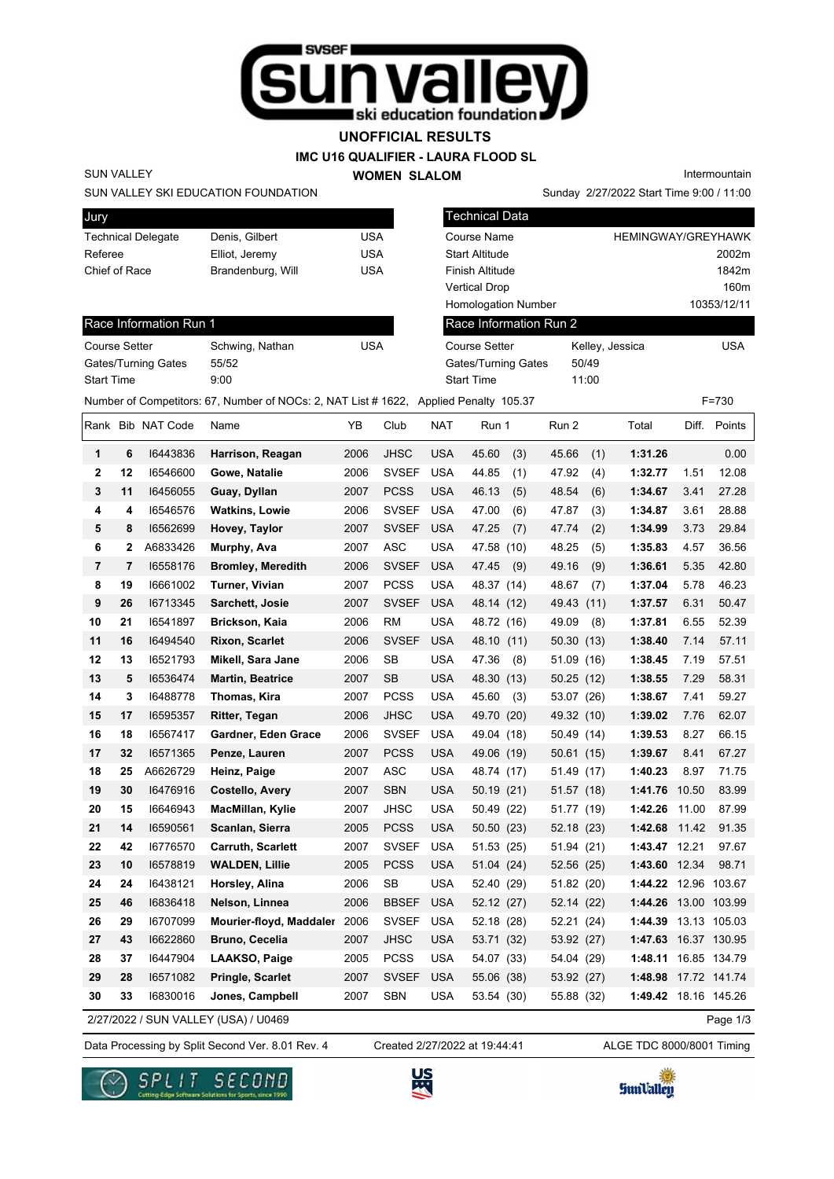

### **UNOFFICIAL RESULTS**

#### **IMC U16 QUALIFIER - LAURA FLOOD SL**

**WOMEN SLALOM** 

Intermountain

Sunday 2/27/2022 Start Time 9:00 / 11:00

#### SUN VALLEY SKI EDUCATION FOUNDATION

SUN VALLEY

Race Information Run 1

Gates/Turning Gates 55/52 Start Time 9:00

| <b>Jury</b>               |                   |     |
|---------------------------|-------------------|-----|
| <b>Technical Delegate</b> | Denis, Gilbert    | USA |
| Referee                   | Elliot, Jeremy    | USA |
| Chief of Race             | Brandenburg, Will | USA |
|                           |                   |     |

Course Setter Schwing, Nathan USA

| <b>Technical Data</b>                                            |                                   |                           |
|------------------------------------------------------------------|-----------------------------------|---------------------------|
| Course Name                                                      |                                   | <b>HEMINGWAY/GREYHAWK</b> |
| Start Altitude                                                   |                                   | 2002m                     |
| Finish Altitude                                                  |                                   | 1842m                     |
| Vertical Drop                                                    |                                   | 160m                      |
| <b>Homologation Number</b>                                       |                                   | 10353/12/11               |
| Race Information Run 2                                           |                                   |                           |
| <b>Course Setter</b><br>Gates/Turning Gates<br><b>Start Time</b> | Kelley, Jessica<br>50/49<br>11:00 | <b>USA</b>                |
|                                                                  |                                   |                           |

Number of Competitors: 67, Number of NOCs: 2, NAT List # 1622, Applied Penalty 105.37 F=730

|                |                | Rank Bib NAT Code | Name                                 | YΒ   | Club         | <b>NAT</b> | Run 1        | Run 2         | Total                | Diff. | Points       |
|----------------|----------------|-------------------|--------------------------------------|------|--------------|------------|--------------|---------------|----------------------|-------|--------------|
| $\mathbf{1}$   | 6              | 16443836          | Harrison, Reagan                     | 2006 | <b>JHSC</b>  | <b>USA</b> | 45.60<br>(3) | 45.66<br>(1)  | 1:31.26              |       | 0.00         |
| $\mathbf 2$    | 12             | 16546600          | Gowe, Natalie                        | 2006 | <b>SVSEF</b> | <b>USA</b> | 44.85<br>(1) | 47.92<br>(4)  | 1:32.77              | 1.51  | 12.08        |
| 3              | 11             | 16456055          | Guay, Dyllan                         | 2007 | <b>PCSS</b>  | <b>USA</b> | 46.13<br>(5) | 48.54<br>(6)  | 1:34.67              | 3.41  | 27.28        |
| 4              | 4              | 16546576          | <b>Watkins, Lowie</b>                | 2006 | <b>SVSEF</b> | <b>USA</b> | 47.00<br>(6) | 47.87<br>(3)  | 1:34.87              | 3.61  | 28.88        |
| 5              | 8              | 16562699          | Hovey, Taylor                        | 2007 | <b>SVSEF</b> | <b>USA</b> | 47.25<br>(7) | 47.74<br>(2)  | 1:34.99              | 3.73  | 29.84        |
| 6              | 2              | A6833426          | Murphy, Ava                          | 2007 | <b>ASC</b>   | <b>USA</b> | 47.58 (10)   | 48.25<br>(5)  | 1:35.83              | 4.57  | 36.56        |
| $\overline{7}$ | $\overline{7}$ | 16558176          | <b>Bromley, Meredith</b>             | 2006 | <b>SVSEF</b> | <b>USA</b> | 47.45<br>(9) | 49.16<br>(9)  | 1:36.61              | 5.35  | 42.80        |
| 8              | 19             | 16661002          | Turner, Vivian                       | 2007 | <b>PCSS</b>  | <b>USA</b> | 48.37 (14)   | 48.67<br>(7)  | 1:37.04              | 5.78  | 46.23        |
| 9              | 26             | 16713345          | Sarchett, Josie                      | 2007 | <b>SVSEF</b> | <b>USA</b> | 48.14 (12)   | 49.43<br>(11) | 1:37.57              | 6.31  | 50.47        |
| 10             | 21             | 16541897          | Brickson, Kaia                       | 2006 | <b>RM</b>    | <b>USA</b> | 48.72 (16)   | 49.09<br>(8)  | 1:37.81              | 6.55  | 52.39        |
| 11             | 16             | 16494540          | <b>Rixon, Scarlet</b>                | 2006 | <b>SVSEF</b> | <b>USA</b> | 48.10 (11)   | 50.30<br>(13) | 1:38.40              | 7.14  | 57.11        |
| 12             | 13             | 16521793          | Mikell, Sara Jane                    | 2006 | <b>SB</b>    | <b>USA</b> | 47.36<br>(8) | 51.09 (16)    | 1:38.45              | 7.19  | 57.51        |
| 13             | 5              | 16536474          | <b>Martin, Beatrice</b>              | 2007 | <b>SB</b>    | <b>USA</b> | 48.30 (13)   | 50.25(12)     | 1:38.55              | 7.29  | 58.31        |
| 14             | 3              | 16488778          | Thomas, Kira                         | 2007 | <b>PCSS</b>  | <b>USA</b> | 45.60<br>(3) | 53.07 (26)    | 1:38.67              | 7.41  | 59.27        |
| 15             | 17             | 16595357          | Ritter, Tegan                        | 2006 | <b>JHSC</b>  | <b>USA</b> | 49.70 (20)   | 49.32 (10)    | 1:39.02              | 7.76  | 62.07        |
| 16             | 18             | 16567417          | Gardner, Eden Grace                  | 2006 | <b>SVSEF</b> | <b>USA</b> | 49.04 (18)   | 50.49 (14)    | 1:39.53              | 8.27  | 66.15        |
| 17             | 32             | 16571365          | Penze, Lauren                        | 2007 | <b>PCSS</b>  | <b>USA</b> | 49.06 (19)   | 50.61 (15)    | 1:39.67              | 8.41  | 67.27        |
| 18             | 25             | A6626729          | Heinz, Paige                         | 2007 | <b>ASC</b>   | USA        | 48.74 (17)   | 51.49 (17)    | 1:40.23              | 8.97  | 71.75        |
| 19             | 30             | 16476916          | Costello, Avery                      | 2007 | <b>SBN</b>   | <b>USA</b> | 50.19 (21)   | 51.57 (18)    | 1:41.76              | 10.50 | 83.99        |
| 20             | 15             | 16646943          | MacMillan, Kylie                     | 2007 | <b>JHSC</b>  | <b>USA</b> | 50.49 (22)   | 51.77 (19)    | 1:42.26              | 11.00 | 87.99        |
| 21             | 14             | 16590561          | Scanlan, Sierra                      | 2005 | <b>PCSS</b>  | <b>USA</b> | 50.50 (23)   | 52.18 (23)    | 1:42.68              | 11.42 | 91.35        |
| 22             | 42             | 16776570          | <b>Carruth, Scarlett</b>             | 2007 | <b>SVSEF</b> | <b>USA</b> | 51.53 (25)   | 51.94 (21)    | 1:43.47              | 12.21 | 97.67        |
| 23             | 10             | 16578819          | <b>WALDEN, Lillie</b>                | 2005 | <b>PCSS</b>  | <b>USA</b> | 51.04 (24)   | 52.56 (25)    | 1:43.60              | 12.34 | 98.71        |
| 24             | 24             | 16438121          | Horsley, Alina                       | 2006 | SB           | USA        | 52.40 (29)   | 51.82 (20)    | 1:44.22 12.96 103.67 |       |              |
| 25             | 46             | 16836418          | Nelson, Linnea                       | 2006 | <b>BBSEF</b> | <b>USA</b> | 52.12 (27)   | 52.14 (22)    | 1:44.26 13.00 103.99 |       |              |
| 26             | 29             | 16707099          | Mourier-floyd, Maddaler              | 2006 | <b>SVSEF</b> | <b>USA</b> | 52.18 (28)   | 52.21 (24)    | 1:44.39              |       | 13.13 105.03 |
| 27             | 43             | 16622860          | Bruno, Cecelia                       | 2007 | <b>JHSC</b>  | <b>USA</b> | 53.71 (32)   | 53.92 (27)    | 1:47.63              |       | 16.37 130.95 |
| 28             | 37             | 16447904          | LAAKSO, Paige                        | 2005 | <b>PCSS</b>  | <b>USA</b> | 54.07 (33)   | 54.04 (29)    | 1:48.11              |       | 16.85 134.79 |
| 29             | 28             | 16571082          | Pringle, Scarlet                     | 2007 | <b>SVSEF</b> | <b>USA</b> | 55.06 (38)   | 53.92 (27)    | 1:48.98              |       | 17.72 141.74 |
| 30             | 33             | 16830016          | Jones, Campbell                      | 2007 | <b>SBN</b>   | <b>USA</b> | 53.54 (30)   | 55.88 (32)    | 1:49.42 18.16 145.26 |       |              |
|                |                |                   | 2/27/2022 / SUN VALLEY (USA) / U0469 |      |              |            |              |               |                      |       | Page 1/3     |

2/27/2022 / SUN VALLEY (USA) / U0469

Data Processing by Split Second Ver. 8.01 Rev. 4 Created 2/27/2022 at 19:44:41 ALGE TDC 8000/8001 Timing Created 2/27/2022 at 19:44:41





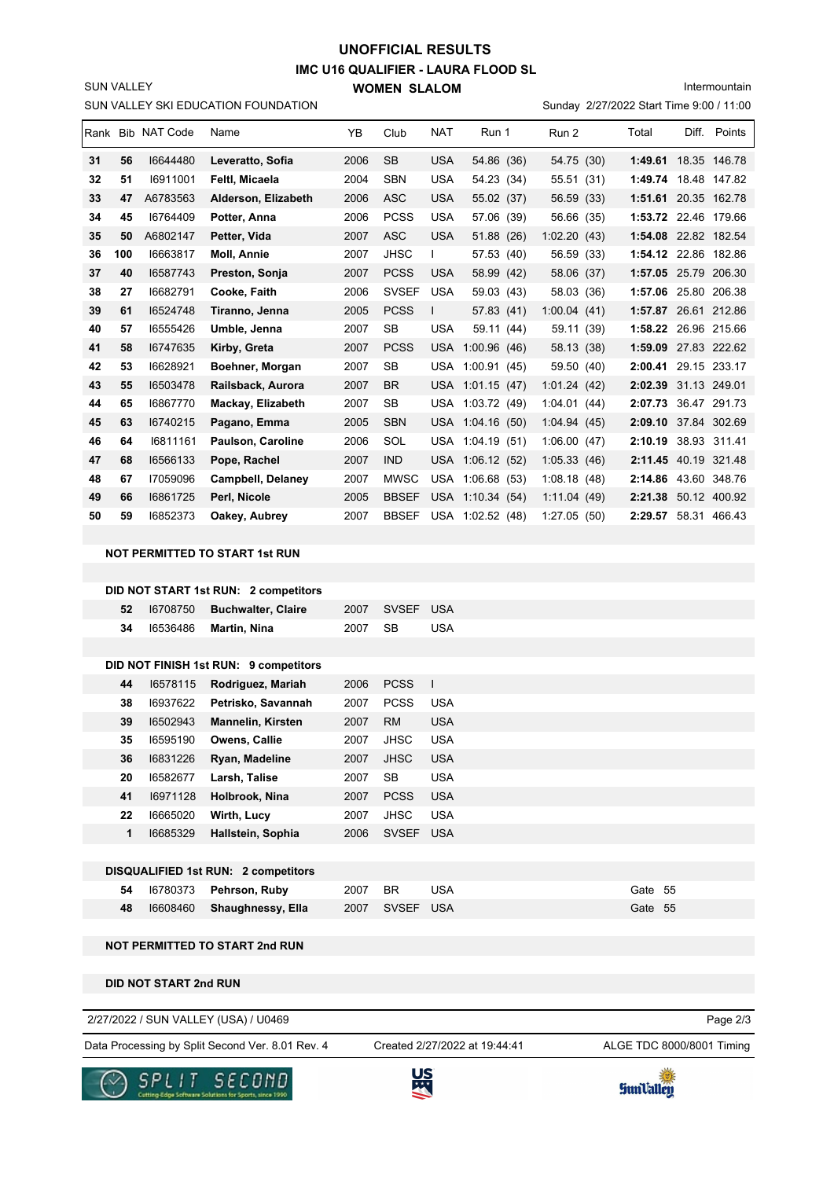## **IMC U16 QUALIFIER - LAURA FLOOD SL WOMEN SLALOM UNOFFICIAL RESULTS**

Sunday 2/27/2022 Start Time 9:00 / 11:00 Intermountain

SUN VALLEY SKI EDUCATION FOUNDATION

SUN VALLEY

|    |     |                   |                          |      |              |            |                  |             | $E/E1/E0LE$ order thing 0.00 $\mu$ + 1.00 |       |              |
|----|-----|-------------------|--------------------------|------|--------------|------------|------------------|-------------|-------------------------------------------|-------|--------------|
|    |     | Rank Bib NAT Code | Name                     | YB   | Club         | <b>NAT</b> | Run 1            | Run 2       | Total                                     | Diff. | Points       |
| 31 | 56  | 16644480          | Leveratto, Sofia         | 2006 | <b>SB</b>    | <b>USA</b> | 54.86 (36)       | 54.75 (30)  | 1:49.61 18.35 146.78                      |       |              |
| 32 | 51  | 16911001          | Feltl, Micaela           | 2004 | <b>SBN</b>   | <b>USA</b> | 54.23 (34)       | 55.51 (31)  | 1:49.74                                   | 18.48 | 147.82       |
| 33 | 47  | A6783563          | Alderson, Elizabeth      | 2006 | <b>ASC</b>   | <b>USA</b> | 55.02 (37)       | 56.59 (33)  | 1:51.61 20.35 162.78                      |       |              |
| 34 | 45  | 16764409          | Potter, Anna             | 2006 | <b>PCSS</b>  | <b>USA</b> | 57.06 (39)       | 56.66 (35)  | 1:53.72 22.46 179.66                      |       |              |
| 35 | 50  | A6802147          | Petter, Vida             | 2007 | ASC          | <b>USA</b> | 51.88 (26)       | 1:02.20(43) | 1:54.08 22.82 182.54                      |       |              |
| 36 | 100 | 16663817          | <b>Moll. Annie</b>       | 2007 | <b>JHSC</b>  |            | 57.53 (40)       | 56.59 (33)  | 1:54.12 22.86 182.86                      |       |              |
| 37 | 40  | 16587743          | Preston, Sonja           | 2007 | <b>PCSS</b>  | <b>USA</b> | 58.99 (42)       | 58.06 (37)  | 1:57.05 25.79 206.30                      |       |              |
| 38 | 27  | 16682791          | Cooke, Faith             | 2006 | <b>SVSEF</b> | <b>USA</b> | 59.03 (43)       | 58.03 (36)  | 1:57.06                                   |       | 25.80 206.38 |
| 39 | 61  | 16524748          | Tiranno, Jenna           | 2005 | <b>PCSS</b>  | L          | 57.83 (41)       | 1:00.04(41) | 1:57.87 26.61 212.86                      |       |              |
| 40 | 57  | 16555426          | Umble, Jenna             | 2007 | <b>SB</b>    | <b>USA</b> | 59.11 (44)       | 59.11 (39)  | 1:58.22 26.96 215.66                      |       |              |
| 41 | 58  | 16747635          | Kirby, Greta             | 2007 | <b>PCSS</b>  | <b>USA</b> | 1:00.96(46)      | 58.13 (38)  | 1:59.09                                   |       | 27.83 222.62 |
| 42 | 53  | 16628921          | Boehner, Morgan          | 2007 | <b>SB</b>    | <b>USA</b> | 1:00.91(45)      | 59.50 (40)  | 2:00.41                                   |       | 29.15 233.17 |
| 43 | 55  | 16503478          | Railsback, Aurora        | 2007 | BR.          | <b>USA</b> | 1:01.15(47)      | 1:01.24(42) | 2:02.39 31.13 249.01                      |       |              |
| 44 | 65  | 16867770          | Mackay, Elizabeth        | 2007 | <b>SB</b>    | <b>USA</b> | 1:03.72(49)      | 1:04.01(44) | 2:07.73                                   |       | 36.47 291.73 |
| 45 | 63  | 16740215          | Pagano, Emma             | 2005 | <b>SBN</b>   | USA        | 1:04.16(50)      | 1:04.94(45) | 2:09.10                                   |       | 37.84 302.69 |
| 46 | 64  | 16811161          | <b>Paulson, Caroline</b> | 2006 | SOL          | <b>USA</b> | 1:04.19(51)      | 1:06.00(47) | 2:10.19 38.93 311.41                      |       |              |
| 47 | 68  | 16566133          | Pope, Rachel             | 2007 | <b>IND</b>   |            | USA 1:06.12 (52) | 1:05.33(46) | 2:11.45 40.19 321.48                      |       |              |
| 48 | 67  | 17059096          | <b>Campbell, Delaney</b> | 2007 | <b>MWSC</b>  | <b>USA</b> | 1:06.68(53)      | 1:08.18(48) | 2:14.86 43.60 348.76                      |       |              |
| 49 | 66  | 16861725          | Perl, Nicole             | 2005 | <b>BBSEF</b> | <b>USA</b> | 1:10.34(54)      | 1:11.04(49) | 2:21.38                                   |       | 50.12 400.92 |
| 50 | 59  | 16852373          | Oakey, Aubrey            | 2007 | <b>BBSEF</b> |            | USA 1:02.52 (48) | 1:27.05(50) | 2:29.57 58.31 466.43                      |       |              |
|    |     |                   |                          |      |              |            |                  |             |                                           |       |              |

**NOT PERMITTED TO START 1st RUN**

|                                            |          | DID NOT START 1st RUN: 2 competitors  |      |              |                |            |  |
|--------------------------------------------|----------|---------------------------------------|------|--------------|----------------|------------|--|
| 52                                         | 16708750 | <b>Buchwalter, Claire</b>             | 2007 | <b>SVSEF</b> | <b>USA</b>     |            |  |
| 34                                         | 16536486 | Martin, Nina                          | 2007 | <b>SB</b>    | <b>USA</b>     |            |  |
|                                            |          |                                       |      |              |                |            |  |
|                                            |          | DID NOT FINISH 1st RUN: 9 competitors |      |              |                |            |  |
| 44                                         | 16578115 | Rodriguez, Mariah                     | 2006 | <b>PCSS</b>  | $\blacksquare$ |            |  |
| 38                                         | 16937622 | Petrisko, Savannah                    | 2007 | <b>PCSS</b>  | <b>USA</b>     |            |  |
| 39                                         | 16502943 | <b>Mannelin, Kirsten</b>              | 2007 | <b>RM</b>    | <b>USA</b>     |            |  |
| 35                                         | 16595190 | Owens, Callie                         | 2007 | <b>JHSC</b>  | <b>USA</b>     |            |  |
| 36                                         | 16831226 | Ryan, Madeline                        | 2007 | <b>JHSC</b>  | <b>USA</b>     |            |  |
| 20                                         | 16582677 | Larsh, Talise                         | 2007 | <b>SB</b>    | <b>USA</b>     |            |  |
| 41                                         | 16971128 | Holbrook, Nina                        | 2007 | <b>PCSS</b>  | <b>USA</b>     |            |  |
| 22                                         | 16665020 | Wirth, Lucy                           | 2007 | <b>JHSC</b>  | <b>USA</b>     |            |  |
| 1                                          | 16685329 | Hallstein, Sophia                     | 2006 | <b>SVSEF</b> | <b>USA</b>     |            |  |
|                                            |          |                                       |      |              |                |            |  |
| <b>DISQUALIFIED 1st RUN: 2 competitors</b> |          |                                       |      |              |                |            |  |
| 54                                         | 16780373 | Pehrson, Ruby                         | 2007 | <b>BR</b>    | <b>USA</b>     | 55<br>Gate |  |
| 48                                         | 16608460 | Shaughnessy, Ella                     | 2007 | <b>SVSEF</b> | <b>USA</b>     | Gate 55    |  |

#### **NOT PERMITTED TO START 2nd RUN**

**DID NOT START 2nd RUN**

#### 2/27/2022 / SUN VALLEY (USA) / U0469

Data Processing by Split Second Ver. 8.01 Rev. 4 Created 2/27/2022 at 19:44:41 ALGE TDC 8000/8001 Timing

Created 2/27/2022 at 19:44:41

Page 2/3